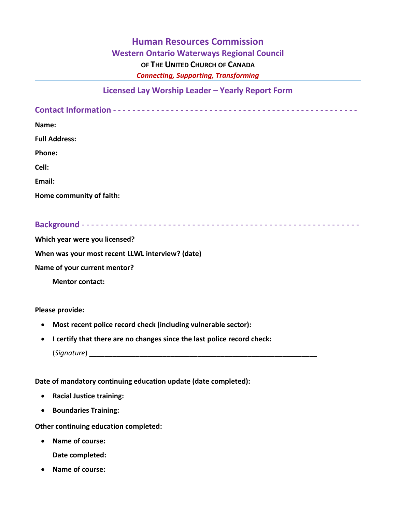## **Human Resources Commission Western Ontario Waterways Regional Council OF THE UNITED CHURCH OF CANADA**

*Connecting, Supporting, Transforming*

## **Licensed Lay Worship Leader – Yearly Report Form**

**Contact Information** - - - - - - - - - - - - - - - - - - - - - - - - - - - - - - - - - - - - - - - - - - - - - - - - - - -

| Name:                    |  |  |
|--------------------------|--|--|
| <b>Full Address:</b>     |  |  |
| Phone:                   |  |  |
| Cell:                    |  |  |
| Email:                   |  |  |
| Home community of faith: |  |  |

**Background** - - - - - - - - - - - - - - - - - - - - - - - - - - - - - - - - - - - - - - - - - - - - - - - - - - - - - - - - - -

**Which year were you licensed?** 

**When was your most recent LLWL interview? (date)**

**Name of your current mentor?**

**Mentor contact:**

**Please provide:**

- **Most recent police record check (including vulnerable sector):**
- **I certify that there are no changes since the last police record check:** (*Signature*) \_\_\_\_\_\_\_\_\_\_\_\_\_\_\_\_\_\_\_\_\_\_\_\_\_\_\_\_\_\_\_\_\_\_\_\_\_\_\_\_\_\_\_\_\_\_\_\_\_\_\_\_\_\_\_\_\_\_\_

**Date of mandatory continuing education update (date completed):**

- **Racial Justice training:**
- **Boundaries Training:**

**Other continuing education completed:**

• **Name of course:**

**Date completed:**

• **Name of course:**